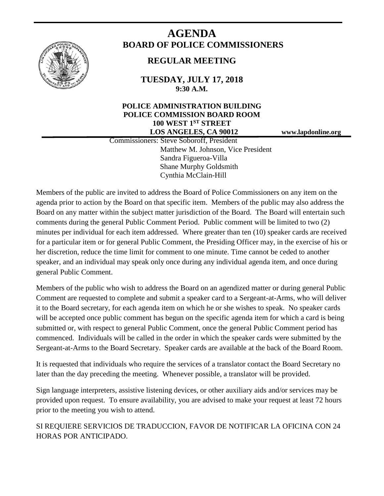

# **AGENDA BOARD OF POLICE COMMISSIONERS**

## **REGULAR MEETING**

**TUESDAY, JULY 17, 2018 9:30 A.M.**

## **POLICE ADMINISTRATION BUILDING POLICE COMMISSION BOARD ROOM 100 WEST 1ST STREET LOS ANGELES, CA 90012 www.lapdonline.org**

 Commissioners: Steve Soboroff, President Matthew M. Johnson, Vice President Sandra Figueroa-Villa Shane Murphy Goldsmith Cynthia McClain-Hill

Members of the public are invited to address the Board of Police Commissioners on any item on the agenda prior to action by the Board on that specific item. Members of the public may also address the Board on any matter within the subject matter jurisdiction of the Board. The Board will entertain such comments during the general Public Comment Period. Public comment will be limited to two (2) minutes per individual for each item addressed. Where greater than ten (10) speaker cards are received for a particular item or for general Public Comment, the Presiding Officer may, in the exercise of his or her discretion, reduce the time limit for comment to one minute. Time cannot be ceded to another speaker, and an individual may speak only once during any individual agenda item, and once during general Public Comment.

Members of the public who wish to address the Board on an agendized matter or during general Public Comment are requested to complete and submit a speaker card to a Sergeant-at-Arms, who will deliver it to the Board secretary, for each agenda item on which he or she wishes to speak. No speaker cards will be accepted once public comment has begun on the specific agenda item for which a card is being submitted or, with respect to general Public Comment, once the general Public Comment period has commenced. Individuals will be called in the order in which the speaker cards were submitted by the Sergeant-at-Arms to the Board Secretary. Speaker cards are available at the back of the Board Room.

It is requested that individuals who require the services of a translator contact the Board Secretary no later than the day preceding the meeting. Whenever possible, a translator will be provided.

Sign language interpreters, assistive listening devices, or other auxiliary aids and/or services may be provided upon request. To ensure availability, you are advised to make your request at least 72 hours prior to the meeting you wish to attend.

SI REQUIERE SERVICIOS DE TRADUCCION, FAVOR DE NOTIFICAR LA OFICINA CON 24 HORAS POR ANTICIPADO.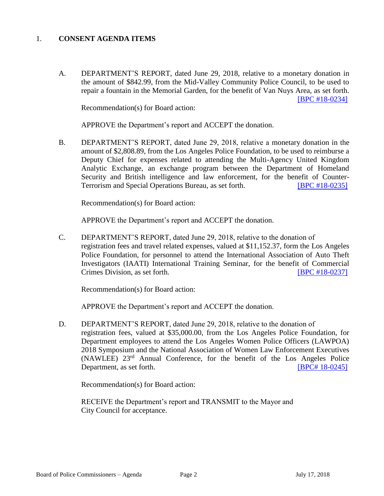## 1. **CONSENT AGENDA ITEMS**

A. DEPARTMENT'S REPORT, dated June 29, 2018, relative to a monetary donation in the amount of \$842.99, from the Mid-Valley Community Police Council, to be used to repair a fountain in the Memorial Garden, for the benefit of Van Nuys Area, as set forth. [\[BPC #18-0234\]](http://www.lapdpolicecom.lacity.org/071718/BPC_18-0234.pdf)

Recommendation(s) for Board action:

APPROVE the Department's report and ACCEPT the donation.

B. DEPARTMENT'S REPORT, dated June 29, 2018, relative a monetary donation in the amount of \$2,808.89, from the Los Angeles Police Foundation, to be used to reimburse a Deputy Chief for expenses related to attending the Multi-Agency United Kingdom Analytic Exchange, an exchange program between the Department of Homeland Security and British intelligence and law enforcement, for the benefit of Counter-Terrorism and Special Operations Bureau, as set forth. **[\[BPC #18-0235\]](http://www.lapdpolicecom.lacity.org/071718/BPC_18-0235.pdf)** 

Recommendation(s) for Board action:

APPROVE the Department's report and ACCEPT the donation.

C. DEPARTMENT'S REPORT, dated June 29, 2018, relative to the donation of registration fees and travel related expenses, valued at \$11,152.37, form the Los Angeles Police Foundation, for personnel to attend the International Association of Auto Theft Investigators (IAATI) International Training Seminar, for the benefit of Commercial Crimes Division, as set forth. [\[BPC #18-0237\]](http://www.lapdpolicecom.lacity.org/071718/BPC_18-0237.pdf)

Recommendation(s) for Board action:

APPROVE the Department's report and ACCEPT the donation.

D. DEPARTMENT'S REPORT, dated June 29, 2018, relative to the donation of registration fees, valued at \$35,000.00, from the Los Angeles Police Foundation, for Department employees to attend the Los Angeles Women Police Officers (LAWPOA) 2018 Symposium and the National Association of Women Law Enforcement Executives (NAWLEE) 23rd Annual Conference, for the benefit of the Los Angeles Police Department, as set forth. **IBPC# 18-0245]** 

Recommendation(s) for Board action:

RECEIVE the Department's report and TRANSMIT to the Mayor and City Council for acceptance.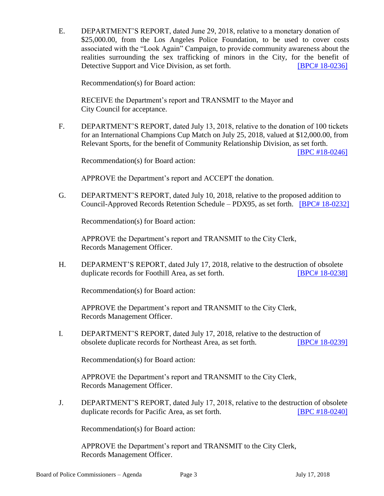E. DEPARTMENT'S REPORT, dated June 29, 2018, relative to a monetary donation of \$25,000.00, from the Los Angeles Police Foundation, to be used to cover costs associated with the "Look Again" Campaign, to provide community awareness about the realities surrounding the sex trafficking of minors in the City, for the benefit of Detective Support and Vice Division, as set forth. **[BPC# [18-0236\]](http://www.lapdpolicecom.lacity.org/071718/BPC_18-0236.pdf)** 

Recommendation(s) for Board action:

RECEIVE the Department's report and TRANSMIT to the Mayor and City Council for acceptance.

F. DEPARTMENT'S REPORT, dated July 13, 2018, relative to the donation of 100 tickets for an International Champions Cup Match on July 25, 2018, valued at \$12,000.00, from Relevant Sports, for the benefit of Community Relationship Division, as set forth.

[\[BPC #18-0246\]](http://www.lapdpolicecom.lacity.org/071718/BPC_18-0246.pdf)

Recommendation(s) for Board action:

APPROVE the Department's report and ACCEPT the donation.

G. DEPARTMENT'S REPORT, dated July 10, 2018, relative to the proposed addition to Council-Approved Records Retention Schedule – PDX95, as set forth. [BPC# [18-0232\]](http://www.lapdpolicecom.lacity.org/071718/BPC_18-0232.pdf)

Recommendation(s) for Board action:

APPROVE the Department's report and TRANSMIT to the City Clerk, Records Management Officer.

H. DEPARMENT'S REPORT, dated July 17, 2018, relative to the destruction of obsolete duplicate records for Foothill Area, as set forth. **IBPC# 18-0238** 

Recommendation(s) for Board action:

APPROVE the Department's report and TRANSMIT to the City Clerk, Records Management Officer.

I. DEPARTMENT'S REPORT, dated July 17, 2018, relative to the destruction of obsolete duplicate records for Northeast Area, as set forth. [BPC# [18-0239\]](http://www.lapdpolicecom.lacity.org/071718/BPC_18-0239.pdf)

Recommendation(s) for Board action:

APPROVE the Department's report and TRANSMIT to the City Clerk, Records Management Officer.

J. DEPARTMENT'S REPORT, dated July 17, 2018, relative to the destruction of obsolete duplicate records for Pacific Area, as set forth. **IBPC #18-0240** 

Recommendation(s) for Board action:

APPROVE the Department's report and TRANSMIT to the City Clerk, Records Management Officer.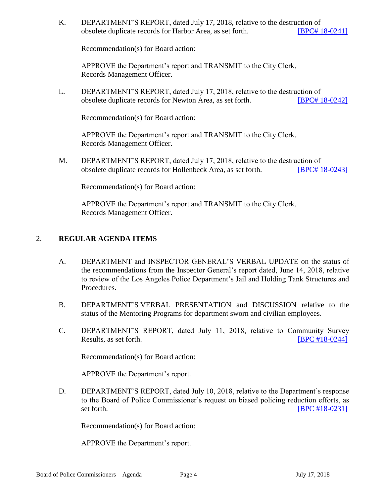K. DEPARTMENT'S REPORT, dated July 17, 2018, relative to the destruction of obsolete duplicate records for Harbor Area, as set forth. [BPC# [18-0241\]](http://www.lapdpolicecom.lacity.org/071718/BPC_18-0241.pdf)

Recommendation(s) for Board action:

APPROVE the Department's report and TRANSMIT to the City Clerk, Records Management Officer.

L. DEPARTMENT'S REPORT, dated July 17, 2018, relative to the destruction of obsolete duplicate records for Newton Area, as set forth. [BPC# [18-0242\]](http://www.lapdpolicecom.lacity.org/071718/BPC_18-0242.pdf)

Recommendation(s) for Board action:

APPROVE the Department's report and TRANSMIT to the City Clerk, Records Management Officer.

M. DEPARTMENT'S REPORT, dated July 17, 2018, relative to the destruction of obsolete duplicate records for Hollenbeck Area, as set forth. [BPC# [18-0243\]](http://www.lapdpolicecom.lacity.org/071718/BPC_18-0243.pdf)

Recommendation(s) for Board action:

APPROVE the Department's report and TRANSMIT to the City Clerk, Records Management Officer.

## 2. **REGULAR AGENDA ITEMS**

- A. DEPARTMENT and INSPECTOR GENERAL'S VERBAL UPDATE on the status of the recommendations from the Inspector General's report dated, June 14, 2018, relative to review of the Los Angeles Police Department's Jail and Holding Tank Structures and Procedures.
- B. DEPARTMENT'S VERBAL PRESENTATION and DISCUSSION relative to the status of the Mentoring Programs for department sworn and civilian employees.
- C. DEPARTMENT'S REPORT, dated July 11, 2018, relative to Community Survey Results, as set forth. **IDPC #18-0244**]

Recommendation(s) for Board action:

APPROVE the Department's report.

D. DEPARTMENT'S REPORT, dated July 10, 2018, relative to the Department's response to the Board of Police Commissioner's request on biased policing reduction efforts, as set forth. [\[BPC #18-0231\]](http://www.lapdpolicecom.lacity.org/071718/BPC_18-0231.pdf)

Recommendation(s) for Board action:

APPROVE the Department's report.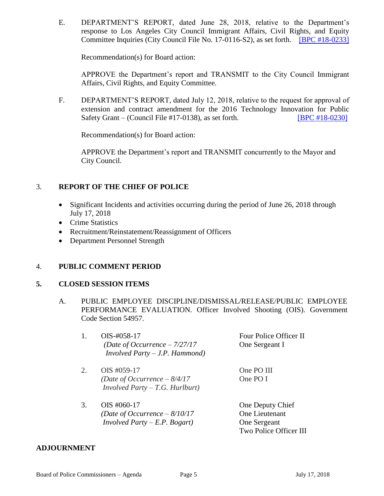E. DEPARTMENT'S REPORT, dated June 28, 2018, relative to the Department's response to Los Angeles City Council Immigrant Affairs, Civil Rights, and Equity Committee Inquiries (City Council File No. 17-0116-S2), as set forth. [\[BPC #18-0233\]](http://www.lapdpolicecom.lacity.org/071718/BPC_18-0233.pdf)

Recommendation(s) for Board action:

APPROVE the Department's report and TRANSMIT to the City Council Immigrant Affairs, Civil Rights, and Equity Committee.

F. DEPARTMENT'S REPORT, dated July 12, 2018, relative to the request for approval of extension and contract amendment for the 2016 Technology Innovation for Public Safety Grant – (Council File #17-0138), as set forth. [\[BPC #18-0230\]](http://www.lapdpolicecom.lacity.org/071718/BPC_18-0230.pdf)

Recommendation(s) for Board action:

APPROVE the Department's report and TRANSMIT concurrently to the Mayor and City Council.

## 3. **REPORT OF THE CHIEF OF POLICE**

- Significant Incidents and activities occurring during the period of June 26, 2018 through July 17, 2018
- Crime Statistics
- Recruitment/Reinstatement/Reassignment of Officers
- Department Personnel Strength

### 4. **PUBLIC COMMENT PERIOD**

### **5. CLOSED SESSION ITEMS**

A. PUBLIC EMPLOYEE DISCIPLINE/DISMISSAL/RELEASE/PUBLIC EMPLOYEE PERFORMANCE EVALUATION. Officer Involved Shooting (OIS). Government Code Section 54957.

|  | $OIS-#058-17$                        | Four Police Officer II |
|--|--------------------------------------|------------------------|
|  | (Date of Occurrence $-7/27/17$       | One Sergeant I         |
|  | $Involved$ $Party - J.P.$ $Hammond)$ |                        |
|  |                                      |                        |

- 2. OIS #059-17 One PO III *(Date of Occurrence – 8/4/17* One PO I *Involved Party – T.G. Hurlburt)*
- 3. OIS #060-17 One Deputy Chief *(Date of Occurrence – 8/10/17* One Lieutenant *Involved Party – E.P. Bogart)* One Sergeant Two Police Officer III

### **ADJOURNMENT**